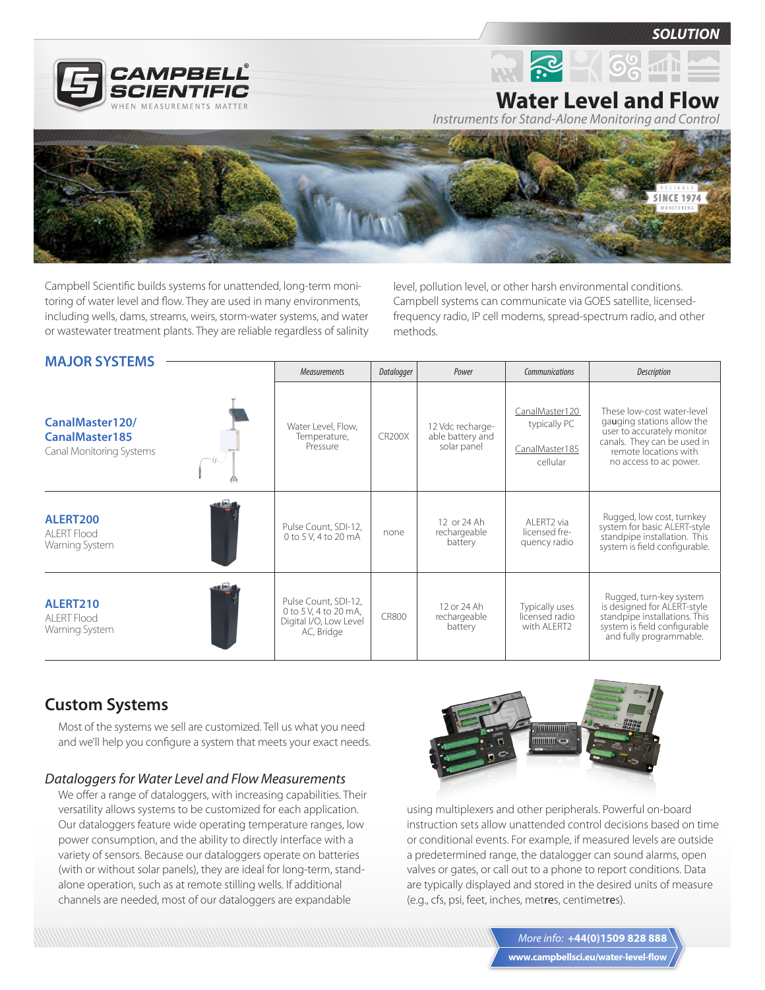

*SOLUTION*



**Water Level and Flow**

*Instruments for Stand-Alone Monitoring and Control*



Campbell Scientific builds systems for unattended, long-term monitoring of water level and flow. They are used in many environments, including wells, dams, streams, weirs, storm-water systems, and water or wastewater treatment plants. They are reliable regardless of salinity level, pollution level, or other harsh environmental conditions. Campbell systems can communicate via GOES satellite, licensedfrequency radio, IP cell modems, spread-spectrum radio, and other methods.

| <b>MAJOR SYSTEMS</b>                                          |                                                                                       |               |                                                     |                                                              |                                                                                                                                                                          |
|---------------------------------------------------------------|---------------------------------------------------------------------------------------|---------------|-----------------------------------------------------|--------------------------------------------------------------|--------------------------------------------------------------------------------------------------------------------------------------------------------------------------|
|                                                               | <b>Measurements</b>                                                                   | Datalogger    | Power                                               | Communications                                               | Description                                                                                                                                                              |
| CanalMaster120/<br>CanalMaster185<br>Canal Monitoring Systems | Water Level, Flow,<br>Temperature,<br>Pressure                                        | <b>CR200X</b> | 12 Vdc recharge-<br>able battery and<br>solar panel | CanalMaster120<br>typically PC<br>CanalMaster185<br>cellular | These low-cost water-level<br>gauging stations allow the<br>user to accurately monitor<br>canals. They can be used in<br>remote locations with<br>no access to ac power. |
| ALERT200<br><b>ALERT Flood</b><br>Warning System              | Pulse Count, SDI-12,<br>0 to 5 V, 4 to 20 mA                                          | none          | 12 or 24 Ah<br>rechargeable<br>battery              | AI FRT2 via<br>licensed fre-<br>quency radio                 | Rugged, low cost, turnkey<br>system for basic ALERT-style<br>standpipe installation. This<br>system is field configurable.                                               |
| ALERT210<br><b>ALERT Flood</b><br>Warning System              | Pulse Count, SDI-12,<br>0 to 5 V, 4 to 20 mA,<br>Digital I/O, Low Level<br>AC, Bridge | <b>CR800</b>  | 12 or 24 Ah<br>rechargeable<br>battery              | Typically uses<br>licensed radio<br>with ALERT2              | Rugged, turn-key system<br>is designed for ALERT-style<br>standpipe installations. This<br>system is field configurable<br>and fully programmable.                       |

# **Custom Systems**

Most of the systems we sell are customized. Tell us what you need and we'll help you configure a system that meets your exact needs.

#### *Dataloggers for Water Level and Flow Measurements*

We offer a range of dataloggers, with increasing capabilities. Their versatility allows systems to be customized for each application. Our dataloggers feature wide operating temperature ranges, low power consumption, and the ability to directly interface with a variety of sensors. Because our dataloggers operate on batteries (with or without solar panels), they are ideal for long-term, standalone operation, such as at remote stilling wells. If additional channels are needed, most of our dataloggers are expandable



using multiplexers and other peripherals. Powerful on-board instruction sets allow unattended control decisions based on time or conditional events. For example, if measured levels are outside a predetermined range, the datalogger can sound alarms, open valves or gates, or call out to a phone to report conditions. Data are typically displayed and stored in the desired units of measure (e.g., cfs, psi, feet, inches, metres, centimetres).

> **www.campbellsci.eu/water-level-flow** *More info:* **+44(0)1509 828 888**